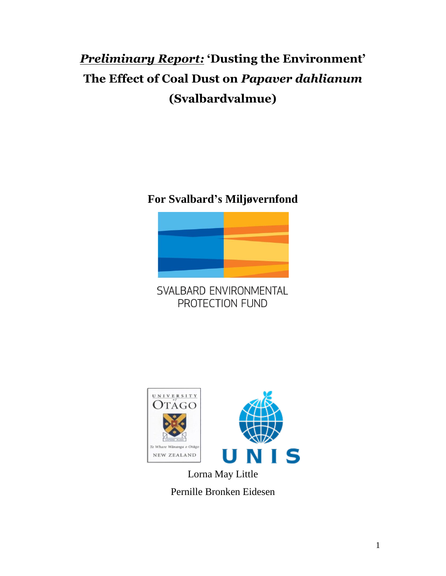# *Preliminary Report:* **'Dusting the Environment' The Effect of Coal Dust on** *Papaver dahlianum* **(Svalbardvalmue)**

**For Svalbard's Miljøvernfond**



SVALBARD ENVIRONMENTAL PROTECTION FUND



Lorna May Little Pernille Bronken Eidesen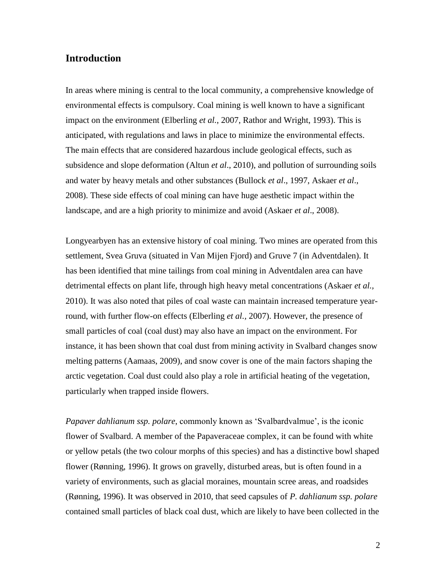## **Introduction**

In areas where mining is central to the local community, a comprehensive knowledge of environmental effects is compulsory. Coal mining is well known to have a significant impact on the environment (Elberling *et al.*, 2007, Rathor and Wright, 1993). This is anticipated, with regulations and laws in place to minimize the environmental effects. The main effects that are considered hazardous include geological effects, such as subsidence and slope deformation (Altun *et al*., 2010), and pollution of surrounding soils and water by heavy metals and other substances (Bullock *et al*., 1997, Askaer *et al*., 2008). These side effects of coal mining can have huge aesthetic impact within the landscape, and are a high priority to minimize and avoid (Askaer *et al*., 2008).

Longyearbyen has an extensive history of coal mining. Two mines are operated from this settlement, Svea Gruva (situated in Van Mijen Fjord) and Gruve 7 (in Adventdalen). It has been identified that mine tailings from coal mining in Adventdalen area can have detrimental effects on plant life, through high heavy metal concentrations (Askaer *et al.,*  2010). It was also noted that piles of coal waste can maintain increased temperature yearround, with further flow-on effects (Elberling *et al.,* 2007). However, the presence of small particles of coal (coal dust) may also have an impact on the environment. For instance, it has been shown that coal dust from mining activity in Svalbard changes snow melting patterns (Aamaas, 2009), and snow cover is one of the main factors shaping the arctic vegetation. Coal dust could also play a role in artificial heating of the vegetation, particularly when trapped inside flowers.

*Papaver dahlianum ssp. polare*, commonly known as 'Svalbardvalmue', is the iconic flower of Svalbard. A member of the Papaveraceae complex, it can be found with white or yellow petals (the two colour morphs of this species) and has a distinctive bowl shaped flower (Rønning, 1996). It grows on gravelly, disturbed areas, but is often found in a variety of environments, such as glacial moraines, mountain scree areas, and roadsides (Rønning, 1996). It was observed in 2010, that seed capsules of *P. dahlianum ssp. polare*  contained small particles of black coal dust, which are likely to have been collected in the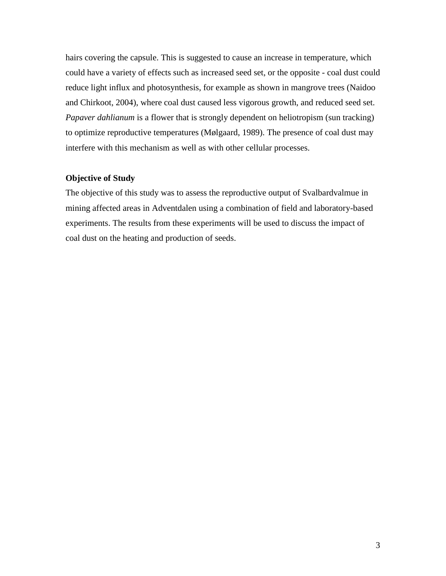hairs covering the capsule. This is suggested to cause an increase in temperature, which could have a variety of effects such as increased seed set, or the opposite - coal dust could reduce light influx and photosynthesis, for example as shown in mangrove trees (Naidoo and Chirkoot, 2004), where coal dust caused less vigorous growth, and reduced seed set. *Papaver dahlianum* is a flower that is strongly dependent on heliotropism (sun tracking) to optimize reproductive temperatures (Mølgaard, 1989). The presence of coal dust may interfere with this mechanism as well as with other cellular processes.

#### **Objective of Study**

The objective of this study was to assess the reproductive output of Svalbardvalmue in mining affected areas in Adventdalen using a combination of field and laboratory-based experiments. The results from these experiments will be used to discuss the impact of coal dust on the heating and production of seeds.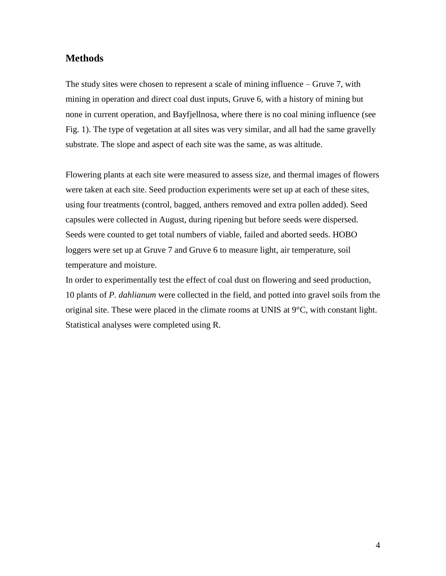## **Methods**

The study sites were chosen to represent a scale of mining influence – Gruve 7, with mining in operation and direct coal dust inputs, Gruve 6, with a history of mining but none in current operation, and Bayfjellnosa, where there is no coal mining influence (see Fig. 1). The type of vegetation at all sites was very similar, and all had the same gravelly substrate. The slope and aspect of each site was the same, as was altitude.

Flowering plants at each site were measured to assess size, and thermal images of flowers were taken at each site. Seed production experiments were set up at each of these sites, using four treatments (control, bagged, anthers removed and extra pollen added). Seed capsules were collected in August, during ripening but before seeds were dispersed. Seeds were counted to get total numbers of viable, failed and aborted seeds. HOBO loggers were set up at Gruve 7 and Gruve 6 to measure light, air temperature, soil temperature and moisture.

In order to experimentally test the effect of coal dust on flowering and seed production, 10 plants of *P. dahlianum* were collected in the field, and potted into gravel soils from the original site. These were placed in the climate rooms at UNIS at 9°C, with constant light. Statistical analyses were completed using R.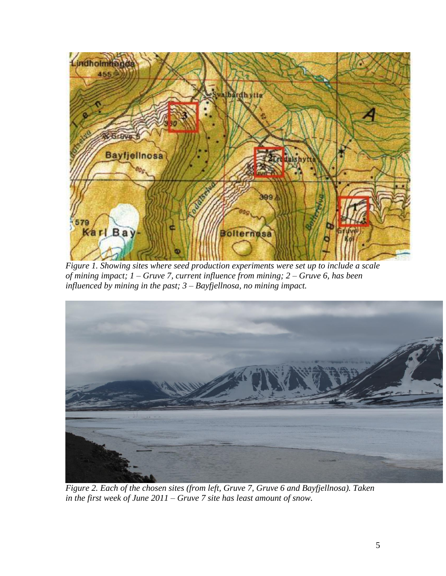

*Figure 1. Showing sites where seed production experiments were set up to include a scale of mining impact; 1 – Gruve 7, current influence from mining; 2 – Gruve 6, has been influenced by mining in the past; 3 – Bayfjellnosa, no mining impact.*



*Figure 2. Each of the chosen sites (from left, Gruve 7, Gruve 6 and Bayfjellnosa). Taken in the first week of June 2011 – Gruve 7 site has least amount of snow.*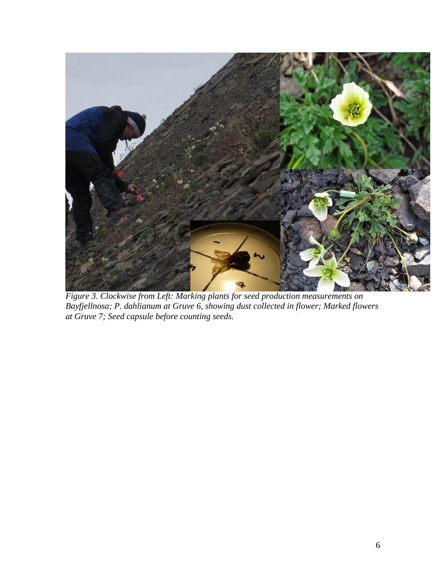

*Figure 3. Clockwise from Left: Marking plants for seed production measurements on Bayfjellnosa; P. dahlianum at Gruve 6, showing dust collected in flower; Marked flowers at Gruve 7; Seed capsule before counting seeds.*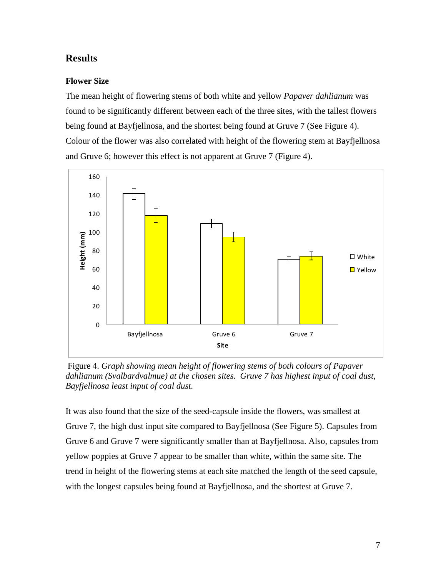# **Results**

## **Flower Size**

The mean height of flowering stems of both white and yellow *Papaver dahlianum* was found to be significantly different between each of the three sites, with the tallest flowers being found at Bayfjellnosa, and the shortest being found at Gruve 7 (See Figure 4). Colour of the flower was also correlated with height of the flowering stem at Bayfjellnosa and Gruve 6; however this effect is not apparent at Gruve 7 (Figure 4).



Figure 4. *Graph showing mean height of flowering stems of both colours of Papaver dahlianum (Svalbardvalmue) at the chosen sites. Gruve 7 has highest input of coal dust, Bayfjellnosa least input of coal dust.*

It was also found that the size of the seed-capsule inside the flowers, was smallest at Gruve 7, the high dust input site compared to Bayfjellnosa (See Figure 5). Capsules from Gruve 6 and Gruve 7 were significantly smaller than at Bayfjellnosa. Also, capsules from yellow poppies at Gruve 7 appear to be smaller than white, within the same site. The trend in height of the flowering stems at each site matched the length of the seed capsule, with the longest capsules being found at Bayfjellnosa, and the shortest at Gruve 7.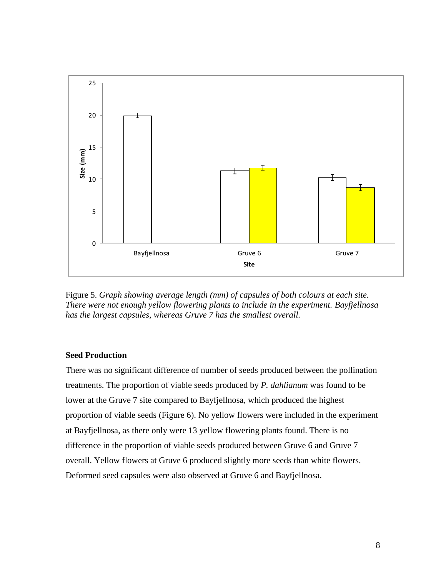

Figure 5. *Graph showing average length (mm) of capsules of both colours at each site. There were not enough yellow flowering plants to include in the experiment. Bayfjellnosa has the largest capsules, whereas Gruve 7 has the smallest overall.*

#### **Seed Production**

There was no significant difference of number of seeds produced between the pollination treatments. The proportion of viable seeds produced by *P. dahlianum* was found to be lower at the Gruve 7 site compared to Bayfjellnosa, which produced the highest proportion of viable seeds (Figure 6). No yellow flowers were included in the experiment at Bayfjellnosa, as there only were 13 yellow flowering plants found. There is no difference in the proportion of viable seeds produced between Gruve 6 and Gruve 7 overall. Yellow flowers at Gruve 6 produced slightly more seeds than white flowers. Deformed seed capsules were also observed at Gruve 6 and Bayfjellnosa.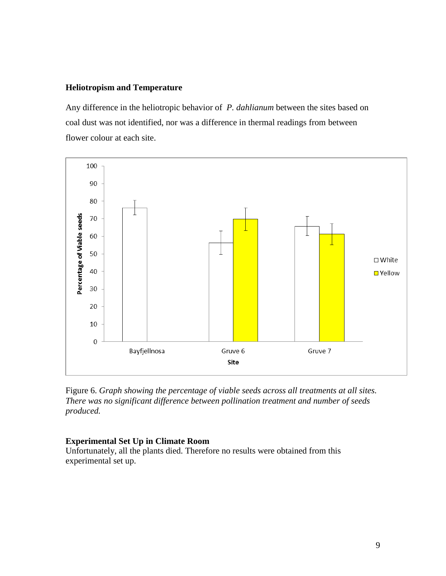#### **Heliotropism and Temperature**

Any difference in the heliotropic behavior of *P. dahlianum* between the sites based on coal dust was not identified, nor was a difference in thermal readings from between flower colour at each site.



Figure 6. *Graph showing the percentage of viable seeds across all treatments at all sites. There was no significant difference between pollination treatment and number of seeds produced.*

#### **Experimental Set Up in Climate Room**

Unfortunately, all the plants died. Therefore no results were obtained from this experimental set up.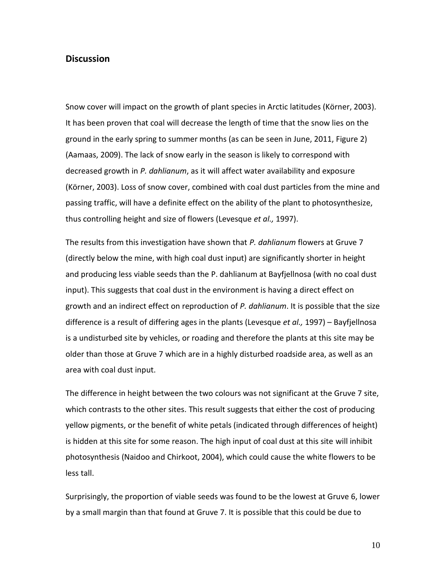#### **Discussion**

Snow cover will impact on the growth of plant species in Arctic latitudes (Körner, 2003). It has been proven that coal will decrease the length of time that the snow lies on the ground in the early spring to summer months (as can be seen in June, 2011, Figure 2) (Aamaas, 2009). The lack of snow early in the season is likely to correspond with decreased growth in *P. dahlianum*, as it will affect water availability and exposure (Körner, 2003). Loss of snow cover, combined with coal dust particles from the mine and passing traffic, will have a definite effect on the ability of the plant to photosynthesize, thus controlling height and size of flowers (Levesque *et al.,* 1997).

The results from this investigation have shown that *P. dahlianum* flowers at Gruve 7 (directly below the mine, with high coal dust input) are significantly shorter in height and producing less viable seeds than the P. dahlianum at Bayfjellnosa (with no coal dust input). This suggests that coal dust in the environment is having a direct effect on growth and an indirect effect on reproduction of *P. dahlianum*. It is possible that the size difference is a result of differing ages in the plants (Levesque *et al.,* 1997) – Bayfjellnosa is a undisturbed site by vehicles, or roading and therefore the plants at this site may be older than those at Gruve 7 which are in a highly disturbed roadside area, as well as an area with coal dust input.

The difference in height between the two colours was not significant at the Gruve 7 site, which contrasts to the other sites. This result suggests that either the cost of producing yellow pigments, or the benefit of white petals (indicated through differences of height) is hidden at this site for some reason. The high input of coal dust at this site will inhibit photosynthesis (Naidoo and Chirkoot, 2004), which could cause the white flowers to be less tall.

Surprisingly, the proportion of viable seeds was found to be the lowest at Gruve 6, lower by a small margin than that found at Gruve 7. It is possible that this could be due to

10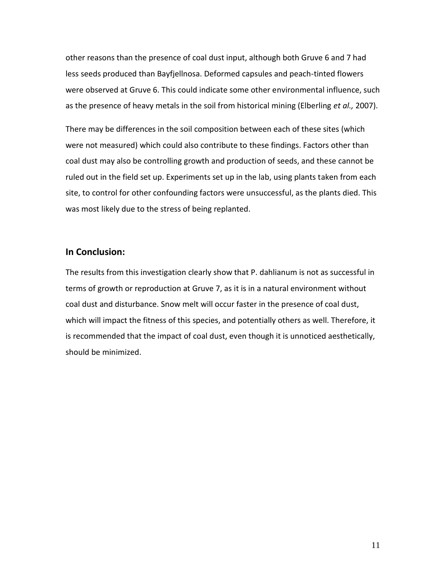other reasons than the presence of coal dust input, although both Gruve 6 and 7 had less seeds produced than Bayfjellnosa. Deformed capsules and peach-tinted flowers were observed at Gruve 6. This could indicate some other environmental influence, such as the presence of heavy metals in the soil from historical mining (Elberling *et al.,* 2007).

There may be differences in the soil composition between each of these sites (which were not measured) which could also contribute to these findings. Factors other than coal dust may also be controlling growth and production of seeds, and these cannot be ruled out in the field set up. Experiments set up in the lab, using plants taken from each site, to control for other confounding factors were unsuccessful, as the plants died. This was most likely due to the stress of being replanted.

## **In Conclusion:**

The results from this investigation clearly show that P. dahlianum is not as successful in terms of growth or reproduction at Gruve 7, as it is in a natural environment without coal dust and disturbance. Snow melt will occur faster in the presence of coal dust, which will impact the fitness of this species, and potentially others as well. Therefore, it is recommended that the impact of coal dust, even though it is unnoticed aesthetically, should be minimized.